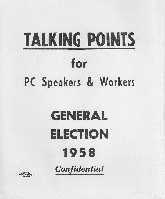# **TALKING POINTS** for

### PC Speakers & Workers

## **GENERAL ELECTION** 1958

Confidential

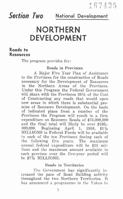## **&?(f;~n h National Development**

### **NORTHERN** DEVELOPMENT

#### **Roads to Resources**

The program provides for:

#### Roads in Provinces

A Major Five Year Plan of Assistance to the Provinces for the construction of Roads necessary for the Development of Resources in the Northern Areas of the Provinces. Under this Program the Federal Government will share with the Provinces 50% of the Cost of Constructing any roads that would open new areas in which there is substantial promise of Resource Development. On the basis of indicated plans from a number of the Provinces the Program will result in a firm expenditure on Resource Roads of \$75,000,000 and the final total will likely be over \$100,- 000,000. Beginning April 1, 1958, \$11/2 MILLIONS in Federal Funds will be available to each of the ten Provinces during each of the following five years. The maximum annual federal expenditure will be \$15 millions and the maximum amount available to each province over the five-year period will be \$7<sup>1</sup>/<sub>2</sub> MILLIONS.

#### Roads in Territories

The Government has significantly increased the pace of Road Building activity throughout the two Northern Territories. It has announced a programme in the Yukon to